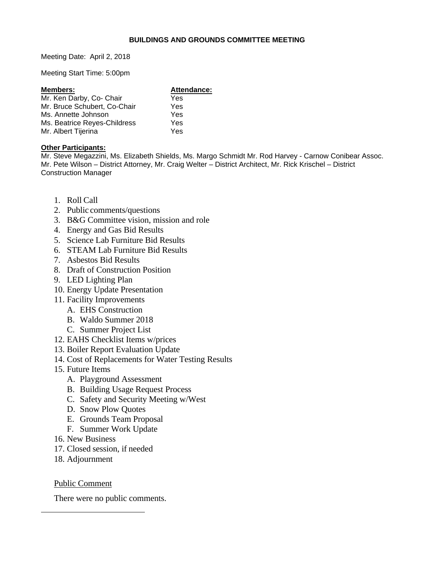#### **BUILDINGS AND GROUNDS COMMITTEE MEETING**

Meeting Date: April 2, 2018

Meeting Start Time: 5:00pm

| <b>Members:</b>              | Attendance: |
|------------------------------|-------------|
| Mr. Ken Darby, Co- Chair     | Yes         |
| Mr. Bruce Schubert, Co-Chair | Yes         |
| Ms. Annette Johnson          | Yes         |
| Ms. Beatrice Reyes-Childress | Yes         |
| Mr. Albert Tijerina          | Yes         |

#### **Other Participants:**

Mr. Steve Megazzini, Ms. Elizabeth Shields, Ms. Margo Schmidt Mr. Rod Harvey - Carnow Conibear Assoc. Mr. Pete Wilson – District Attorney, Mr. Craig Welter – District Architect, Mr. Rick Krischel – District Construction Manager

- 1. Roll Call
- 2. Public comments/questions
- 3. B&G Committee vision, mission and role
- 4. Energy and Gas Bid Results
- 5. Science Lab Furniture Bid Results
- 6. STEAM Lab Furniture Bid Results
- 7. Asbestos Bid Results
- 8. Draft of Construction Position
- 9. LED Lighting Plan
- 10. Energy Update Presentation
- 11. Facility Improvements
	- A. EHS Construction
	- B. Waldo Summer 2018
	- C. Summer Project List
- 12. EAHS Checklist Items w/prices
- 13. Boiler Report Evaluation Update
- 14. Cost of Replacements for Water Testing Results
- 15. Future Items
	- A. Playground Assessment
	- B. Building Usage Request Process
	- C. Safety and Security Meeting w/West
	- D. Snow Plow Quotes
	- E. Grounds Team Proposal
	- F. Summer Work Update
- 16. New Business
- 17. Closed session, if needed
- 18. Adjournment

Public Comment

 $\overline{a}$ 

There were no public comments.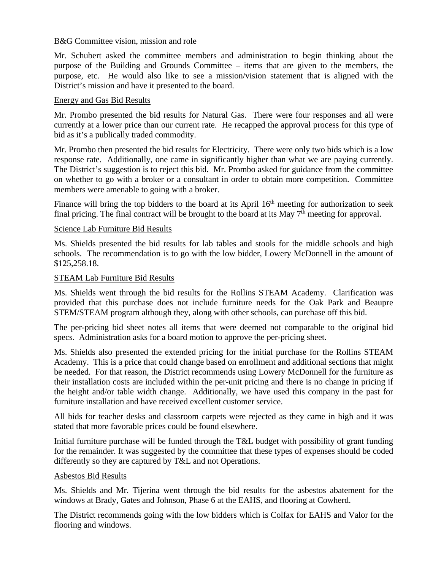#### B&G Committee vision, mission and role

Mr. Schubert asked the committee members and administration to begin thinking about the purpose of the Building and Grounds Committee – items that are given to the members, the purpose, etc. He would also like to see a mission/vision statement that is aligned with the District's mission and have it presented to the board.

## Energy and Gas Bid Results

Mr. Prombo presented the bid results for Natural Gas. There were four responses and all were currently at a lower price than our current rate. He recapped the approval process for this type of bid as it's a publically traded commodity.

Mr. Prombo then presented the bid results for Electricity. There were only two bids which is a low response rate. Additionally, one came in significantly higher than what we are paying currently. The District's suggestion is to reject this bid. Mr. Prombo asked for guidance from the committee on whether to go with a broker or a consultant in order to obtain more competition. Committee members were amenable to going with a broker.

Finance will bring the top bidders to the board at its April  $16<sup>th</sup>$  meeting for authorization to seek final pricing. The final contract will be brought to the board at its May  $7<sup>th</sup>$  meeting for approval.

## Science Lab Furniture Bid Results

Ms. Shields presented the bid results for lab tables and stools for the middle schools and high schools. The recommendation is to go with the low bidder, Lowery McDonnell in the amount of \$125,258.18.

## STEAM Lab Furniture Bid Results

Ms. Shields went through the bid results for the Rollins STEAM Academy. Clarification was provided that this purchase does not include furniture needs for the Oak Park and Beaupre STEM/STEAM program although they, along with other schools, can purchase off this bid.

The per-pricing bid sheet notes all items that were deemed not comparable to the original bid specs. Administration asks for a board motion to approve the per-pricing sheet.

Ms. Shields also presented the extended pricing for the initial purchase for the Rollins STEAM Academy. This is a price that could change based on enrollment and additional sections that might be needed. For that reason, the District recommends using Lowery McDonnell for the furniture as their installation costs are included within the per-unit pricing and there is no change in pricing if the height and/or table width change. Additionally, we have used this company in the past for furniture installation and have received excellent customer service.

All bids for teacher desks and classroom carpets were rejected as they came in high and it was stated that more favorable prices could be found elsewhere.

Initial furniture purchase will be funded through the T&L budget with possibility of grant funding for the remainder. It was suggested by the committee that these types of expenses should be coded differently so they are captured by T&L and not Operations.

#### Asbestos Bid Results

Ms. Shields and Mr. Tijerina went through the bid results for the asbestos abatement for the windows at Brady, Gates and Johnson, Phase 6 at the EAHS, and flooring at Cowherd.

The District recommends going with the low bidders which is Colfax for EAHS and Valor for the flooring and windows.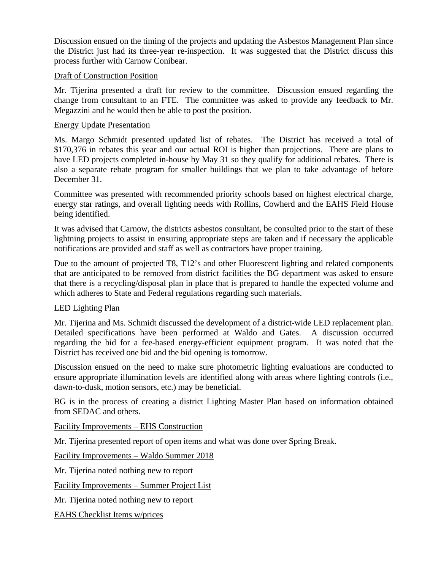Discussion ensued on the timing of the projects and updating the Asbestos Management Plan since the District just had its three-year re-inspection. It was suggested that the District discuss this process further with Carnow Conibear.

## Draft of Construction Position

Mr. Tijerina presented a draft for review to the committee. Discussion ensued regarding the change from consultant to an FTE. The committee was asked to provide any feedback to Mr. Megazzini and he would then be able to post the position.

## Energy Update Presentation

Ms. Margo Schmidt presented updated list of rebates. The District has received a total of \$170,376 in rebates this year and our actual ROI is higher than projections. There are plans to have LED projects completed in-house by May 31 so they qualify for additional rebates. There is also a separate rebate program for smaller buildings that we plan to take advantage of before December 31.

Committee was presented with recommended priority schools based on highest electrical charge, energy star ratings, and overall lighting needs with Rollins, Cowherd and the EAHS Field House being identified.

It was advised that Carnow, the districts asbestos consultant, be consulted prior to the start of these lightning projects to assist in ensuring appropriate steps are taken and if necessary the applicable notifications are provided and staff as well as contractors have proper training.

Due to the amount of projected T8, T12's and other Fluorescent lighting and related components that are anticipated to be removed from district facilities the BG department was asked to ensure that there is a recycling/disposal plan in place that is prepared to handle the expected volume and which adheres to State and Federal regulations regarding such materials.

# LED Lighting Plan

Mr. Tijerina and Ms. Schmidt discussed the development of a district-wide LED replacement plan. Detailed specifications have been performed at Waldo and Gates. A discussion occurred regarding the bid for a fee-based energy-efficient equipment program. It was noted that the District has received one bid and the bid opening is tomorrow.

Discussion ensued on the need to make sure photometric lighting evaluations are conducted to ensure appropriate illumination levels are identified along with areas where lighting controls (i.e., dawn-to-dusk, motion sensors, etc.) may be beneficial.

BG is in the process of creating a district Lighting Master Plan based on information obtained from SEDAC and others.

Facility Improvements – EHS Construction

Mr. Tijerina presented report of open items and what was done over Spring Break.

Facility Improvements – Waldo Summer 2018

Mr. Tijerina noted nothing new to report

Facility Improvements – Summer Project List

Mr. Tijerina noted nothing new to report

EAHS Checklist Items w/prices